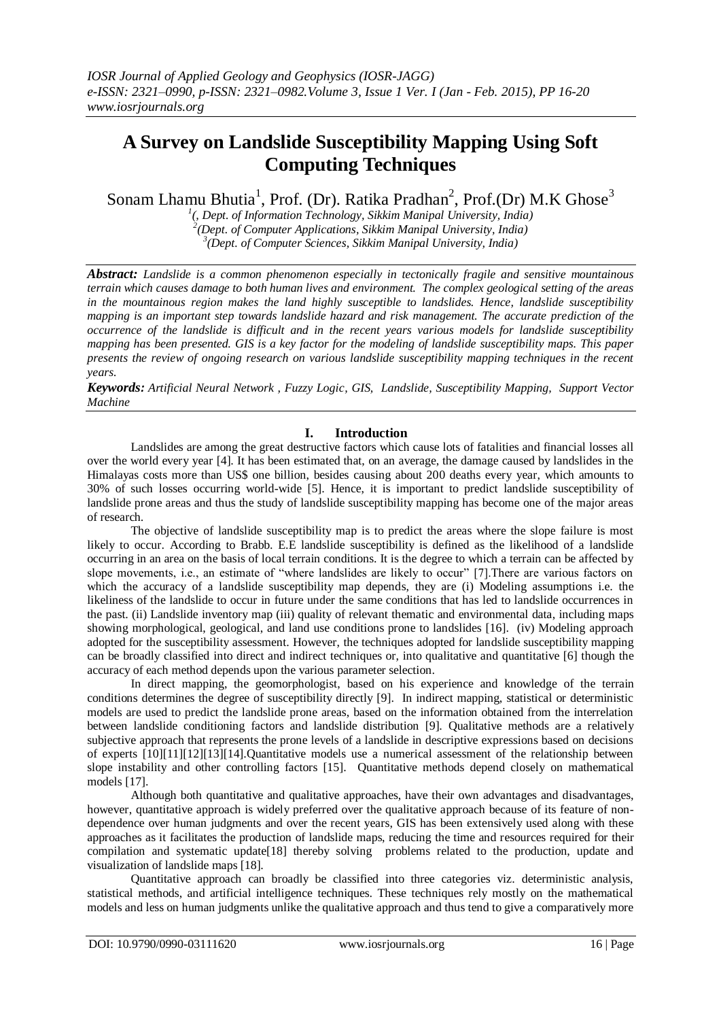# **A Survey on Landslide Susceptibility Mapping Using Soft Computing Techniques**

Sonam Lhamu Bhutia<sup>1</sup>, Prof. (Dr). Ratika Pradhan<sup>2</sup>, Prof.(Dr) M.K Ghose<sup>3</sup>

*1 (, Dept. of Information Technology, Sikkim Manipal University, India) 2 (Dept. of Computer Applications, Sikkim Manipal University, India) 3 (Dept. of Computer Sciences, Sikkim Manipal University, India)*

*Abstract: Landslide is a common phenomenon especially in tectonically fragile and sensitive mountainous terrain which causes damage to both human lives and environment. The complex geological setting of the areas in the mountainous region makes the land highly susceptible to landslides. Hence, landslide susceptibility mapping is an important step towards landslide hazard and risk management. The accurate prediction of the occurrence of the landslide is difficult and in the recent years various models for landslide susceptibility mapping has been presented. GIS is a key factor for the modeling of landslide susceptibility maps. This paper presents the review of ongoing research on various landslide susceptibility mapping techniques in the recent years.*

*Keywords: Artificial Neural Network , Fuzzy Logic, GIS, Landslide, Susceptibility Mapping, Support Vector Machine*

## **I. Introduction**

Landslides are among the great destructive factors which cause lots of fatalities and financial losses all over the world every year [4]. It has been estimated that, on an average, the damage caused by landslides in the Himalayas costs more than US\$ one billion, besides causing about 200 deaths every year, which amounts to 30% of such losses occurring world-wide [5]. Hence, it is important to predict landslide susceptibility of landslide prone areas and thus the study of landslide susceptibility mapping has become one of the major areas of research.

The objective of landslide susceptibility map is to predict the areas where the slope failure is most likely to occur. According to Brabb. E.E landslide susceptibility is defined as the likelihood of a landslide occurring in an area on the basis of local terrain conditions. It is the degree to which a terrain can be affected by slope movements, i.e., an estimate of "where landslides are likely to occur" [7].There are various factors on which the accuracy of a landslide susceptibility map depends, they are (i) Modeling assumptions i.e. the likeliness of the landslide to occur in future under the same conditions that has led to landslide occurrences in the past. (ii) Landslide inventory map (iii) quality of relevant thematic and environmental data, including maps showing morphological, geological, and land use conditions prone to landslides [16]. (iv) Modeling approach adopted for the susceptibility assessment. However, the techniques adopted for landslide susceptibility mapping can be broadly classified into direct and indirect techniques or, into qualitative and quantitative [6] though the accuracy of each method depends upon the various parameter selection.

In direct mapping, the geomorphologist, based on his experience and knowledge of the terrain conditions determines the degree of susceptibility directly [9]. In indirect mapping, statistical or deterministic models are used to predict the landslide prone areas, based on the information obtained from the interrelation between landslide conditioning factors and landslide distribution [9]. Qualitative methods are a relatively subjective approach that represents the prone levels of a landslide in descriptive expressions based on decisions of experts [10][11][12][13][14].Quantitative models use a numerical assessment of the relationship between slope instability and other controlling factors [15]. Quantitative methods depend closely on mathematical models [17].

Although both quantitative and qualitative approaches, have their own advantages and disadvantages, however, quantitative approach is widely preferred over the qualitative approach because of its feature of nondependence over human judgments and over the recent years, GIS has been extensively used along with these approaches as it facilitates the production of landslide maps, reducing the time and resources required for their compilation and systematic update[18] thereby solving problems related to the production, update and visualization of landslide maps [18].

Quantitative approach can broadly be classified into three categories viz. deterministic analysis, statistical methods, and artificial intelligence techniques. These techniques rely mostly on the mathematical models and less on human judgments unlike the qualitative approach and thus tend to give a comparatively more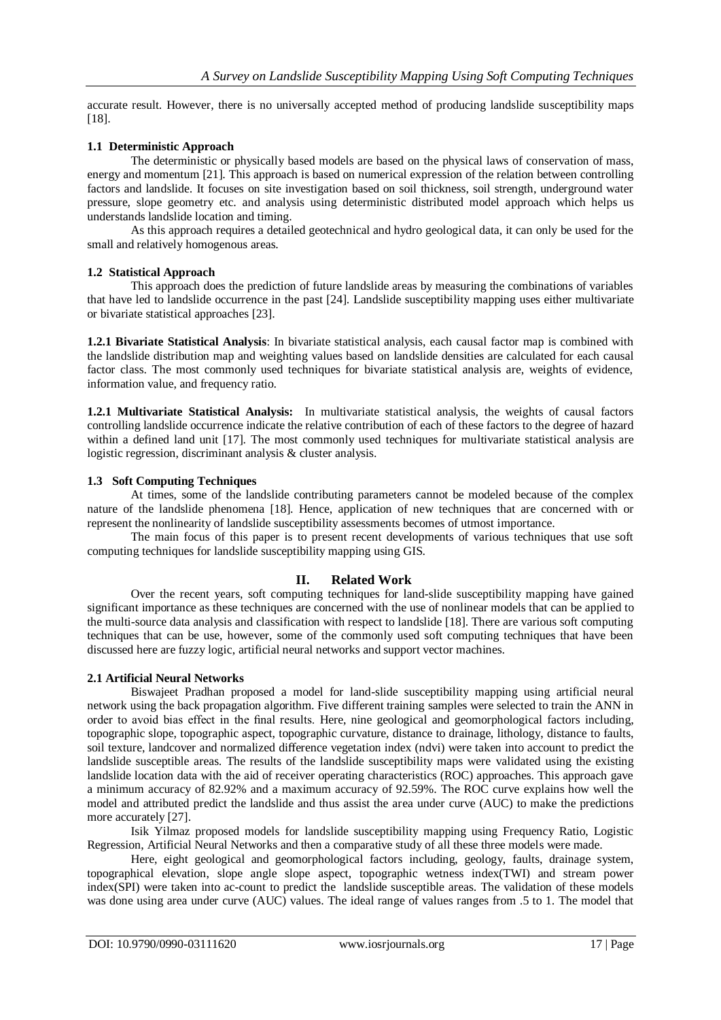accurate result. However, there is no universally accepted method of producing landslide susceptibility maps [18].

## **1.1 Deterministic Approach**

The deterministic or physically based models are based on the physical laws of conservation of mass, energy and momentum [21]. This approach is based on numerical expression of the relation between controlling factors and landslide. It focuses on site investigation based on soil thickness, soil strength, underground water pressure, slope geometry etc. and analysis using deterministic distributed model approach which helps us understands landslide location and timing.

As this approach requires a detailed geotechnical and hydro geological data, it can only be used for the small and relatively homogenous areas.

### **1.2 Statistical Approach**

This approach does the prediction of future landslide areas by measuring the combinations of variables that have led to landslide occurrence in the past [24]. Landslide susceptibility mapping uses either multivariate or bivariate statistical approaches [23].

**1.2.1 Bivariate Statistical Analysis**: In bivariate statistical analysis, each causal factor map is combined with the landslide distribution map and weighting values based on landslide densities are calculated for each causal factor class. The most commonly used techniques for bivariate statistical analysis are, weights of evidence, information value, and frequency ratio.

**1.2.1 Multivariate Statistical Analysis:** In multivariate statistical analysis, the weights of causal factors controlling landslide occurrence indicate the relative contribution of each of these factors to the degree of hazard within a defined land unit [17]. The most commonly used techniques for multivariate statistical analysis are logistic regression, discriminant analysis & cluster analysis.

### **1.3 Soft Computing Techniques**

At times, some of the landslide contributing parameters cannot be modeled because of the complex nature of the landslide phenomena [18]. Hence, application of new techniques that are concerned with or represent the nonlinearity of landslide susceptibility assessments becomes of utmost importance.

The main focus of this paper is to present recent developments of various techniques that use soft computing techniques for landslide susceptibility mapping using GIS.

### **II. Related Work**

Over the recent years, soft computing techniques for land-slide susceptibility mapping have gained significant importance as these techniques are concerned with the use of nonlinear models that can be applied to the multi-source data analysis and classification with respect to landslide [18]. There are various soft computing techniques that can be use, however, some of the commonly used soft computing techniques that have been discussed here are fuzzy logic, artificial neural networks and support vector machines.

### **2.1 Artificial Neural Networks**

Biswajeet Pradhan proposed a model for land-slide susceptibility mapping using artificial neural network using the back propagation algorithm. Five different training samples were selected to train the ANN in order to avoid bias effect in the final results. Here, nine geological and geomorphological factors including, topographic slope, topographic aspect, topographic curvature, distance to drainage, lithology, distance to faults, soil texture, landcover and normalized difference vegetation index (ndvi) were taken into account to predict the landslide susceptible areas. The results of the landslide susceptibility maps were validated using the existing landslide location data with the aid of receiver operating characteristics (ROC) approaches. This approach gave a minimum accuracy of 82.92% and a maximum accuracy of 92.59%. The ROC curve explains how well the model and attributed predict the landslide and thus assist the area under curve (AUC) to make the predictions more accurately [27].

Isik Yilmaz proposed models for landslide susceptibility mapping using Frequency Ratio, Logistic Regression, Artificial Neural Networks and then a comparative study of all these three models were made.

Here, eight geological and geomorphological factors including, geology, faults, drainage system, topographical elevation, slope angle slope aspect, topographic wetness index(TWI) and stream power index(SPI) were taken into ac-count to predict the landslide susceptible areas. The validation of these models was done using area under curve (AUC) values. The ideal range of values ranges from .5 to 1. The model that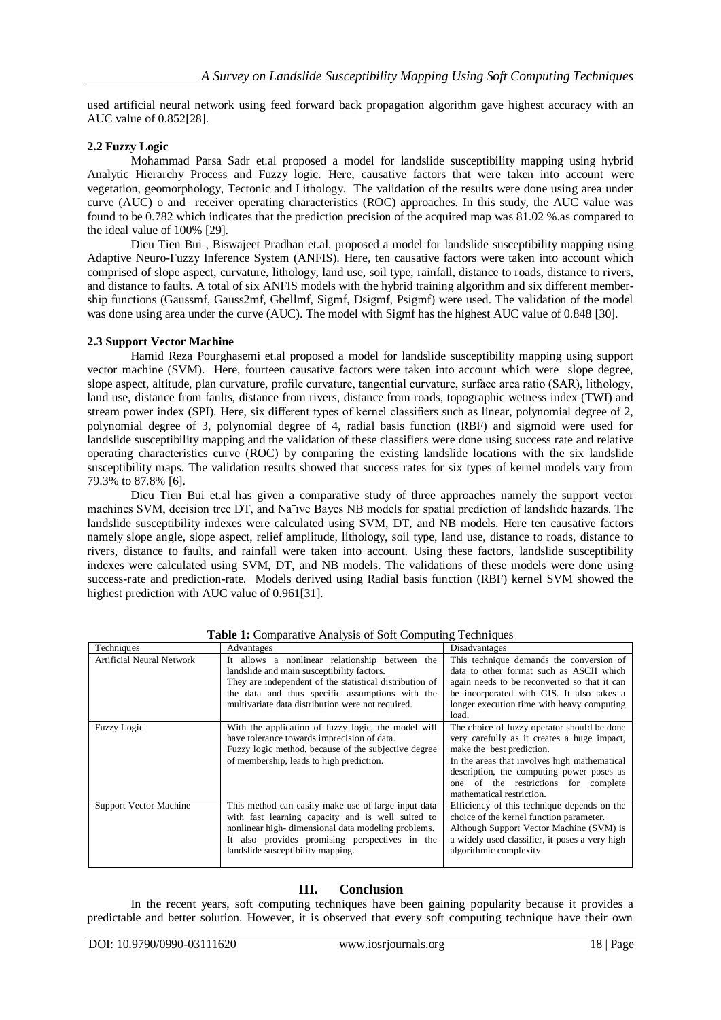used artificial neural network using feed forward back propagation algorithm gave highest accuracy with an AUC value of 0.852[28].

## **2.2 Fuzzy Logic**

Mohammad Parsa Sadr et.al proposed a model for landslide susceptibility mapping using hybrid Analytic Hierarchy Process and Fuzzy logic. Here, causative factors that were taken into account were vegetation, geomorphology, Tectonic and Lithology. The validation of the results were done using area under curve (AUC) o and receiver operating characteristics (ROC) approaches. In this study, the AUC value was found to be 0.782 which indicates that the prediction precision of the acquired map was 81.02 %.as compared to the ideal value of 100% [29].

Dieu Tien Bui , Biswajeet Pradhan et.al. proposed a model for landslide susceptibility mapping using Adaptive Neuro-Fuzzy Inference System (ANFIS). Here, ten causative factors were taken into account which comprised of slope aspect, curvature, lithology, land use, soil type, rainfall, distance to roads, distance to rivers, and distance to faults. A total of six ANFIS models with the hybrid training algorithm and six different membership functions (Gaussmf, Gauss2mf, Gbellmf, Sigmf, Dsigmf, Psigmf) were used. The validation of the model was done using area under the curve (AUC). The model with Sigmf has the highest AUC value of 0.848 [30].

## **2.3 Support Vector Machine**

Hamid Reza Pourghasemi et.al proposed a model for landslide susceptibility mapping using support vector machine (SVM). Here, fourteen causative factors were taken into account which were slope degree, slope aspect, altitude, plan curvature, profile curvature, tangential curvature, surface area ratio (SAR), lithology, land use, distance from faults, distance from rivers, distance from roads, topographic wetness index (TWI) and stream power index (SPI). Here, six different types of kernel classifiers such as linear, polynomial degree of 2, polynomial degree of 3, polynomial degree of 4, radial basis function (RBF) and sigmoid were used for landslide susceptibility mapping and the validation of these classifiers were done using success rate and relative operating characteristics curve (ROC) by comparing the existing landslide locations with the six landslide susceptibility maps. The validation results showed that success rates for six types of kernel models vary from 79.3% to 87.8% [6].

Dieu Tien Bui et.al has given a comparative study of three approaches namely the support vector machines SVM, decision tree DT, and Na¨ıve Bayes NB models for spatial prediction of landslide hazards. The landslide susceptibility indexes were calculated using SVM, DT, and NB models. Here ten causative factors namely slope angle, slope aspect, relief amplitude, lithology, soil type, land use, distance to roads, distance to rivers, distance to faults, and rainfall were taken into account. Using these factors, landslide susceptibility indexes were calculated using SVM, DT, and NB models. The validations of these models were done using success-rate and prediction-rate. Models derived using Radial basis function (RBF) kernel SVM showed the highest prediction with AUC value of 0.961[31].

| Techniques                | Advantages                                              | Disadvantages                                  |
|---------------------------|---------------------------------------------------------|------------------------------------------------|
| Artificial Neural Network | It allows a nonlinear relationship between the          | This technique demands the conversion of       |
|                           | landslide and main susceptibility factors.              | data to other format such as ASCII which       |
|                           | They are independent of the statistical distribution of | again needs to be reconverted so that it can   |
|                           | the data and thus specific assumptions with the         | be incorporated with GIS. It also takes a      |
|                           | multivariate data distribution were not required.       | longer execution time with heavy computing     |
|                           |                                                         | load.                                          |
| <b>Fuzzy Logic</b>        | With the application of fuzzy logic, the model will     | The choice of fuzzy operator should be done    |
|                           | have tolerance towards imprecision of data.             | very carefully as it creates a huge impact,    |
|                           | Fuzzy logic method, because of the subjective degree    | make the best prediction.                      |
|                           | of membership, leads to high prediction.                | In the areas that involves high mathematical   |
|                           |                                                         | description, the computing power poses as      |
|                           |                                                         | one of the restrictions for complete           |
|                           |                                                         | mathematical restriction.                      |
| Support Vector Machine    | This method can easily make use of large input data     | Efficiency of this technique depends on the    |
|                           | with fast learning capacity and is well suited to       | choice of the kernel function parameter.       |
|                           | nonlinear high-dimensional data modeling problems.      | Although Support Vector Machine (SVM) is       |
|                           | It also provides promising perspectives in the          | a widely used classifier, it poses a very high |
|                           | landslide susceptibility mapping.                       | algorithmic complexity.                        |
|                           |                                                         |                                                |

**Table 1:** Comparative Analysis of Soft Computing Techniques

## **III. Conclusion**

In the recent years, soft computing techniques have been gaining popularity because it provides a predictable and better solution. However, it is observed that every soft computing technique have their own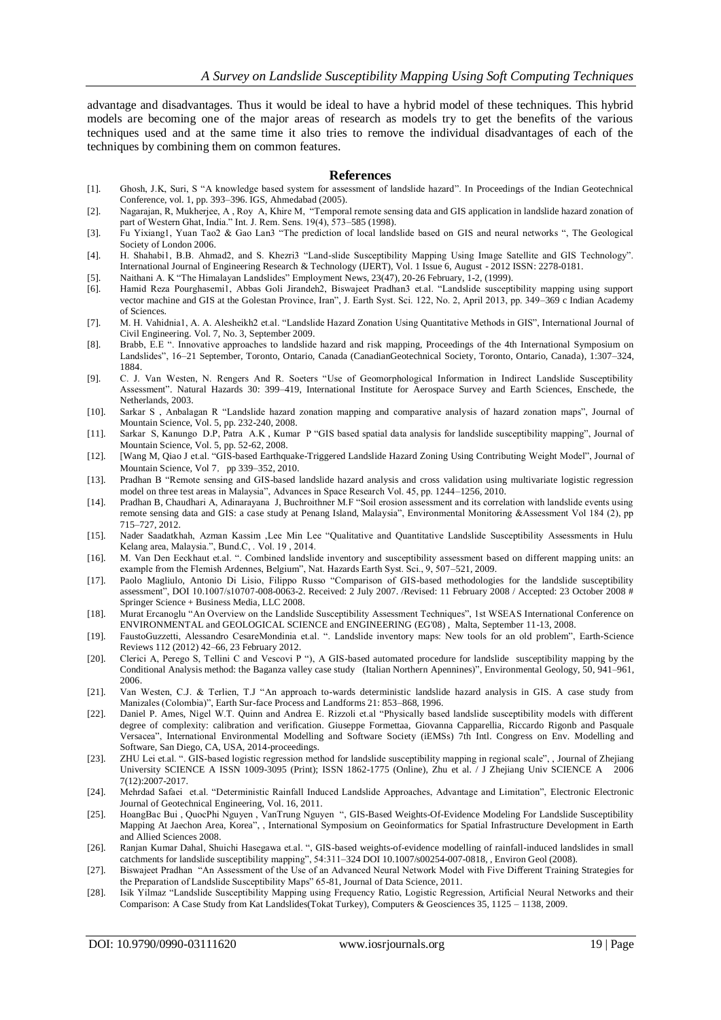advantage and disadvantages. Thus it would be ideal to have a hybrid model of these techniques. This hybrid models are becoming one of the major areas of research as models try to get the benefits of the various techniques used and at the same time it also tries to remove the individual disadvantages of each of the techniques by combining them on common features.

#### **References**

- [1]. Ghosh, J.K, Suri, S "A knowledge based system for assessment of landslide hazard". In Proceedings of the Indian Geotechnical Conference, vol. 1, pp. 393–396. IGS, Ahmedabad (2005).
- [2]. Nagarajan, R, Mukherjee, A , Roy A, Khire M, "Temporal remote sensing data and GIS application in landslide hazard zonation of part of Western Ghat, India." Int. J. Rem. Sens. 19(4), 573–585 (1998).
- [3]. Fu Yixiang1, Yuan Tao2 & Gao Lan3 "The prediction of local landslide based on GIS and neural networks ", The Geological Society of London 2006.
- [4]. H. Shahabi1, B.B. Ahmad2, and S. Khezri3 "Land-slide Susceptibility Mapping Using Image Satellite and GIS Technology". International Journal of Engineering Research & Technology (IJERT), Vol. 1 Issue 6, August - 2012 ISSN: 2278-0181.
- [5]. Naithani A. K "The Himalayan Landslides" Employment News, 23(47), 20-26 February, 1-2, (1999).
- [6]. Hamid Reza Pourghasemi1, Abbas Goli Jirandeh2, Biswajeet Pradhan3 et.al. "Landslide susceptibility mapping using support vector machine and GIS at the Golestan Province, Iran", J. Earth Syst. Sci. 122, No. 2, April 2013, pp. 349–369 c Indian Academy of Sciences.
- [7]. M. H. Vahidnia1, A. A. Alesheikh2 et.al. "Landslide Hazard Zonation Using Quantitative Methods in GIS", International Journal of Civil Engineering. Vol. 7, No. 3, September 2009.
- [8]. Brabb, E.E ". Innovative approaches to landslide hazard and risk mapping, Proceedings of the 4th International Symposium on Landslides", 16–21 September, Toronto, Ontario, Canada (CanadianGeotechnical Society, Toronto, Ontario, Canada), 1:307–324, 1884.
- [9]. C. J. Van Westen, N. Rengers And R. Soeters "Use of Geomorphological Information in Indirect Landslide Susceptibility Assessment". Natural Hazards 30: 399–419, International Institute for Aerospace Survey and Earth Sciences, Enschede, the Netherlands, 2003.
- [10]. Sarkar S , Anbalagan R "Landslide hazard zonation mapping and comparative analysis of hazard zonation maps", Journal of Mountain Science, Vol. 5, pp. 232-240, 2008.
- [11]. Sarkar S, Kanungo D.P, Patra A.K , Kumar P "GIS based spatial data analysis for landslide susceptibility mapping", Journal of Mountain Science, Vol. 5, pp. 52-62, 2008.
- [12]. [Wang M, Qiao J et.al. "GIS-based Earthquake-Triggered Landslide Hazard Zoning Using Contributing Weight Model", Journal of Mountain Science, Vol 7, pp 339–352, 2010.
- [13]. Pradhan B "Remote sensing and GIS-based landslide hazard analysis and cross validation using multivariate logistic regression model on three test areas in Malaysia", Advances in Space Research Vol. 45, pp. 1244–1256, 2010.
- [14]. Pradhan B, Chaudhari A, Adinarayana J, Buchroithner M.F "Soil erosion assessment and its correlation with landslide events using remote sensing data and GIS: a case study at Penang Island, Malaysia", Environmental Monitoring &Assessment Vol 184 (2), pp 715–727, 2012.
- [15]. Nader Saadatkhah, Azman Kassim ,Lee Min Lee "Qualitative and Quantitative Landslide Susceptibility Assessments in Hulu Kelang area, Malaysia.", Bund.C, . Vol. 19 , 2014.
- [16]. M. Van Den Eeckhaut et.al. ". Combined landslide inventory and susceptibility assessment based on different mapping units: an example from the Flemish Ardennes, Belgium", Nat. Hazards Earth Syst. Sci., 9, 507–521, 2009.
- [17]. Paolo Magliulo, Antonio Di Lisio, Filippo Russo "Comparison of GIS-based methodologies for the landslide susceptibility assessment", DOI 10.1007/s10707-008-0063-2. Received: 2 July 2007. /Revised: 11 February 2008 / Accepted: 23 October 2008 # Springer Science + Business Media, LLC 2008.
- [18]. Murat Ercanoglu "An Overview on the Landslide Susceptibility Assessment Techniques", 1st WSEAS International Conference on ENVIRONMENTAL and GEOLOGICAL SCIENCE and ENGINEERING (EG'08) , Malta, September 11-13, 2008.
- [19]. FaustoGuzzetti, Alessandro CesareMondinia et.al. ". Landslide inventory maps: New tools for an old problem", Earth-Science Reviews 112 (2012) 42–66, 23 February 2012.
- [20]. Clerici A, Perego S, Tellini C and Vescovi P "), A GIS-based automated procedure for landslide susceptibility mapping by the Conditional Analysis method: the Baganza valley case study (Italian Northern Apennines)", Environmental Geology, 50, 941–961, 2006.
- [21]. Van Westen, C.J. & Terlien, T.J "An approach to-wards deterministic landslide hazard analysis in GIS. A case study from Manizales (Colombia)", Earth Sur-face Process and Landforms 21: 853–868, 1996.
- [22]. Daniel P. Ames, Nigel W.T. Quinn and Andrea E. Rizzoli et.al "Physically based landslide susceptibility models with different degree of complexity: calibration and verification. Giuseppe Formettaa, Giovanna Capparellia, Riccardo Rigonb and Pasquale Versacea", International Environmental Modelling and Software Society (iEMSs) 7th Intl. Congress on Env. Modelling and Software, San Diego, CA, USA, 2014-proceedings.
- [23]. ZHU Lei et.al. ". GIS-based logistic regression method for landslide susceptibility mapping in regional scale", , Journal of Zhejiang University SCIENCE A ISSN 1009-3095 (Print); ISSN 1862-1775 (Online), Zhu et al. / J Zhejiang Univ SCIENCE A 2006 7(12):2007-2017.
- [24]. Mehrdad Safaei et.al. "Deterministic Rainfall Induced Landslide Approaches, Advantage and Limitation", Electronic Electronic Journal of Geotechnical Engineering, Vol. 16, 2011.
- [25]. HoangBac Bui , QuocPhi Nguyen , VanTrung Nguyen ", GIS-Based Weights-Of-Evidence Modeling For Landslide Susceptibility Mapping At Jaechon Area, Korea", , International Symposium on Geoinformatics for Spatial Infrastructure Development in Earth and Allied Sciences 2008.
- [26]. Ranjan Kumar Dahal, Shuichi Hasegawa et.al. ", GIS-based weights-of-evidence modelling of rainfall-induced landslides in small catchments for landslide susceptibility mapping", 54:311–324 DOI 10.1007/s00254-007-0818, , Environ Geol (2008).
- [27]. Biswajeet Pradhan "An Assessment of the Use of an Advanced Neural Network Model with Five Different Training Strategies for the Preparation of Landslide Susceptibility Maps" 65-81, Journal of Data Science, 2011.
- [28]. Isik Yilmaz "Landslide Susceptibility Mapping using Frequency Ratio, Logistic Regression, Artificial Neural Networks and their Comparison: A Case Study from Kat Landslides(Tokat Turkey), Computers & Geosciences 35, 1125 – 1138, 2009.